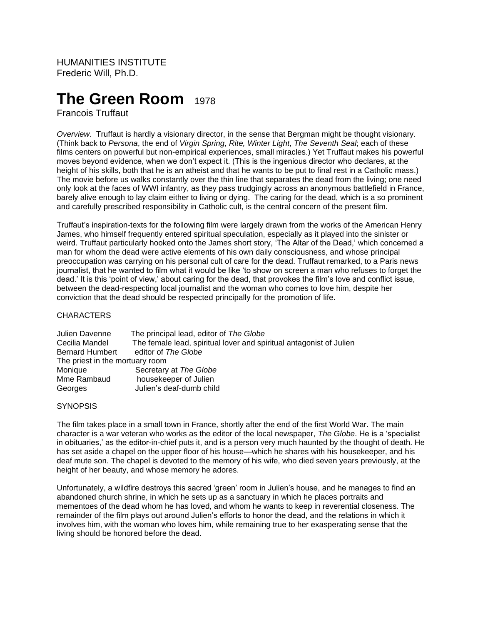HUMANITIES INSTITUTE Frederic Will, Ph.D.

# **The Green Room** 1978

Francois Truffaut

*Overview*. Truffaut is hardly a visionary director, in the sense that Bergman might be thought visionary. (Think back to *Persona*, the end of *Virgin Spring*, *Rite, Winter Light*, *The Seventh Seal*; each of these films centers on powerful but non-empirical experiences, small miracles.) Yet Truffaut makes his powerful moves beyond evidence, when we don't expect it. (This is the ingenious director who declares, at the height of his skills, both that he is an atheist and that he wants to be put to final rest in a Catholic mass.) The movie before us walks constantly over the thin line that separates the dead from the living; one need only look at the faces of WWI infantry, as they pass trudgingly across an anonymous battlefield in France, barely alive enough to lay claim either to living or dying. The caring for the dead, which is a so prominent and carefully prescribed responsibility in Catholic cult, is the central concern of the present film.

Truffaut's inspiration-texts for the following film were largely drawn from the works of the American Henry James, who himself frequently entered spiritual speculation, especially as it played into the sinister or weird. Truffaut particularly hooked onto the James short story, 'The Altar of the Dead,' which concerned a man for whom the dead were active elements of his own daily consciousness, and whose principal preoccupation was carrying on his personal cult of care for the dead. Truffaut remarked, to a Paris news journalist, that he wanted to film what it would be like 'to show on screen a man who refuses to forget the dead.' It is this 'point of view,' about caring for the dead, that provokes the film's love and conflict issue, between the dead-respecting local journalist and the woman who comes to love him, despite her conviction that the dead should be respected principally for the promotion of life.

#### **CHARACTERS**

| Julien Davenne                  | The principal lead, editor of The Globe                             |
|---------------------------------|---------------------------------------------------------------------|
| Cecilia Mandel                  | The female lead, spiritual lover and spiritual antagonist of Julien |
| <b>Bernard Humbert</b>          | editor of The Globe                                                 |
| The priest in the mortuary room |                                                                     |
| Monique                         | Secretary at The Globe                                              |
| Mme Rambaud                     | housekeeper of Julien                                               |
| Georges                         | Julien's deaf-dumb child                                            |

#### **SYNOPSIS**

The film takes place in a small town in France, shortly after the end of the first World War. The main character is a war veteran who works as the editor of the local newspaper, *The Globe*. He is a 'specialist in obituaries,' as the editor-in-chief puts it, and is a person very much haunted by the thought of death. He has set aside a chapel on the upper floor of his house—which he shares with his housekeeper, and his deaf mute son. The chapel is devoted to the memory of his wife, who died seven years previously, at the height of her beauty, and whose memory he adores.

Unfortunately, a wildfire destroys this sacred 'green' room in Julien's house, and he manages to find an abandoned church shrine, in which he sets up as a sanctuary in which he places portraits and mementoes of the dead whom he has loved, and whom he wants to keep in reverential closeness. The remainder of the film plays out around Julien's efforts to honor the dead, and the relations in which it involves him, with the woman who loves him, while remaining true to her exasperating sense that the living should be honored before the dead.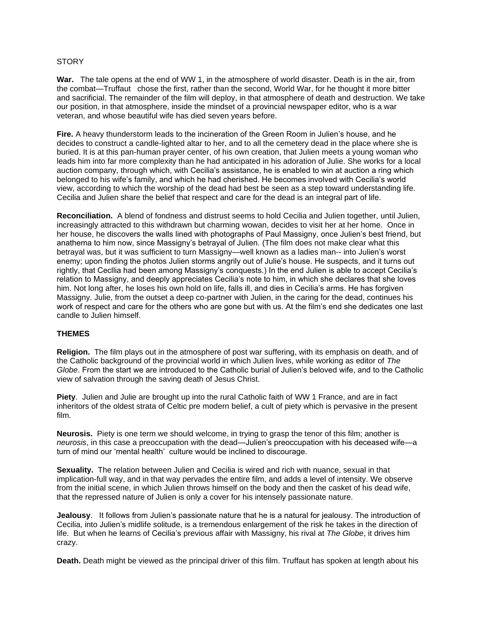### **STORY**

**War.** The tale opens at the end of WW 1, in the atmosphere of world disaster. Death is in the air, from the combat—Truffaut chose the first, rather than the second, World War, for he thought it more bitter and sacrificial. The remainder of the film will deploy, in that atmosphere of death and destruction. We take our position, in that atmosphere, inside the mindset of a provincial newspaper editor, who is a war veteran, and whose beautiful wife has died seven years before.

**Fire.** A heavy thunderstorm leads to the incineration of the Green Room in Julien's house, and he decides to construct a candle-lighted altar to her, and to all the cemetery dead in the place where she is buried. It is at this pan-human prayer center, of his own creation, that Julien meets a young woman who leads him into far more complexity than he had anticipated in his adoration of Julie. She works for a local auction company, through which, with Cecilia's assistance, he is enabled to win at auction a ring which belonged to his wife's family, and which he had cherished. He becomes involved with Cecilia's world view, according to which the worship of the dead had best be seen as a step toward understanding life. Cecilia and Julien share the belief that respect and care for the dead is an integral part of life.

**Reconciliation.** A blend of fondness and distrust seems to hold Cecilia and Julien together, until Julien, increasingly attracted to this withdrawn but charming wowan, decides to visit her at her home. Once in her house, he discovers the walls lined with photographs of Paul Massigny, once Julien's best friend, but anathema to him now, since Massigny's betrayal of Julien. (The film does not make clear what this betrayal was, but it was sufficient to turn Massigny—well known as a ladies man-- into Julien's worst enemy; upon finding the photos Julien storms angrily out of Julie's house. He suspects, and it turns out rightly, that Cecllia had been among Massigny's conquests.) In the end Julien is able to accept Cecilia's relation to Massigny, and deeply appreciates Cecilia's note to him, in which she declares that she loves him. Not long after, he loses his own hold on life, falls ill, and dies in Cecilia's arms. He has forgiven Massigny. Julie, from the outset a deep co-partner with Julien, in the caring for the dead, continues his work of respect and care for the others who are gone but with us. At the film's end she dedicates one last candle to Julien himself.

## **THEMES**

**Religion.** The film plays out in the atmosphere of post war suffering, with its emphasis on death, and of the Catholic background of the provincial world in which Julien lives, while working as editor of *The Globe*. From the start we are introduced to the Catholic burial of Julien's beloved wife, and to the Catholic view of salvation through the saving death of Jesus Christ.

**Piety**. Julien and Julie are brought up into the rural Catholic faith of WW 1 France, and are in fact inheritors of the oldest strata of Celtic pre modern belief, a cult of piety which is pervasive in the present film.

**Neurosis.** Piety is one term we should welcome, in trying to grasp the tenor of this film; another is *neurosis*, in this case a preoccupation with the dead—Julien's preoccupation with his deceased wife—a turn of mind our 'mental health' culture would be inclined to discourage.

**Sexuality.** The relation between Julien and Cecilia is wired and rich with nuance, sexual in that implication-full way, and in that way pervades the entire film, and adds a level of intensity. We observe from the initial scene, in which Julien throws himself on the body and then the casket of his dead wife, that the repressed nature of Julien is only a cover for his intensely passionate nature.

**Jealousy**. It follows from Julien's passionate nature that he is a natural for jealousy. The introduction of Cecilia, into Julien's midlife solitude, is a tremendous enlargement of the risk he takes in the direction of life. But when he learns of Cecilia's previous affair with Massigny, his rival at *The Globe*, it drives him crazy.

**Death.** Death might be viewed as the principal driver of this film. Truffaut has spoken at length about his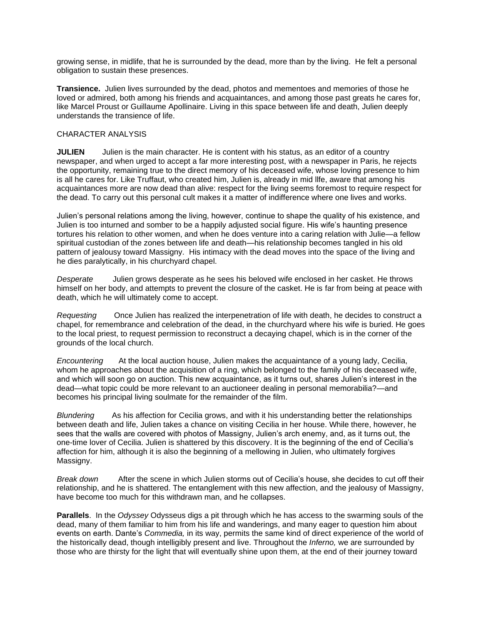growing sense, in midlife, that he is surrounded by the dead, more than by the living. He felt a personal obligation to sustain these presences.

**Transience.** Julien lives surrounded by the dead, photos and mementoes and memories of those he loved or admired, both among his friends and acquaintances, and among those past greats he cares for, like Marcel Proust or Guillaume Apollinaire. Living in this space between life and death, Julien deeply understands the transience of life.

## CHARACTER ANALYSIS

**JULIEN** Julien is the main character. He is content with his status, as an editor of a country newspaper, and when urged to accept a far more interesting post, with a newspaper in Paris, he rejects the opportunity, remaining true to the direct memory of his deceased wife, whose loving presence to him is all he cares for. Like Truffaut, who created him, Julien is, already in mid llfe, aware that among his acquaintances more are now dead than alive: respect for the living seems foremost to require respect for the dead. To carry out this personal cult makes it a matter of indifference where one lives and works.

Julien's personal relations among the living, however, continue to shape the quality of his existence, and Julien is too inturned and somber to be a happily adjusted social figure. His wife's haunting presence tortures his relation to other women, and when he does venture into a caring relation with Julie—a fellow spiritual custodian of the zones between life and death—his relationship becomes tangled in his old pattern of jealousy toward Massigny. His intimacy with the dead moves into the space of the living and he dies paralytically, in his churchyard chapel.

*Desperate* Julien grows desperate as he sees his beloved wife enclosed in her casket. He throws himself on her body, and attempts to prevent the closure of the casket. He is far from being at peace with death, which he will ultimately come to accept.

*Requesting*Once Julien has realized the interpenetration of life with death, he decides to construct a chapel, for remembrance and celebration of the dead, in the churchyard where his wife is buried. He goes to the local priest, to request permission to reconstruct a decaying chapel, which is in the corner of the grounds of the local church.

*Encountering* At the local auction house, Julien makes the acquaintance of a young lady, Cecilia, whom he approaches about the acquisition of a ring, which belonged to the family of his deceased wife, and which will soon go on auction. This new acquaintance, as it turns out, shares Julien's interest in the dead—what topic could be more relevant to an auctioneer dealing in personal memorabilia?—and becomes his principal living soulmate for the remainder of the film.

*Blundering*As his affection for Cecilia grows, and with it his understanding better the relationships between death and life, Julien takes a chance on visiting Cecilia in her house. While there, however, he sees that the walls are covered with photos of Massigny, Julien's arch enemy, and, as it turns out, the one-time lover of Cecilia. Julien is shattered by this discovery. It is the beginning of the end of Cecilia's affection for him, although it is also the beginning of a mellowing in Julien, who ultimately forgives Massigny.

*Break down*After the scene in which Julien storms out of Cecilia's house, she decides to cut off their relationship, and he is shattered. The entanglement with this new affection, and the jealousy of Massigny, have become too much for this withdrawn man, and he collapses.

**Parallels**. In the *Odyssey* Odysseus digs a pit through which he has access to the swarming souls of the dead, many of them familiar to him from his life and wanderings, and many eager to question him about events on earth. Dante's *Commedia,* in its way, permits the same kind of direct experience of the world of the historically dead, though intelligibly present and live. Throughout the *Inferno,* we are surrounded by those who are thirsty for the light that will eventually shine upon them, at the end of their journey toward